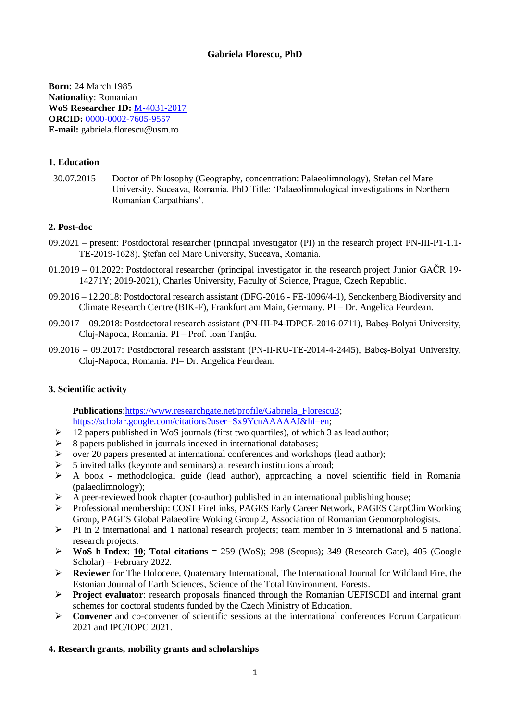# **Gabriela Florescu, PhD**

**Born:** 24 March 1985 **Nationality**: Romanian **WoS Researcher ID:** [M-4031-2017](https://publons.com/researcher/1636943/gabriela-florescu/) **ORCID:** [0000-0002-7605-9557](https://orcid.org/0000-0002-7605-9557) **E-mail:** gabriela.florescu@usm.ro

## **1. Education**

30.07.2015 Doctor of Philosophy (Geography, concentration: Palaeolimnology), Stefan cel Mare University, Suceava, Romania. PhD Title: 'Palaeolimnological investigations in Northern Romanian Carpathians'.

#### **2. Post-doc**

- 09.2021 present: Postdoctoral researcher (principal investigator (PI) in the research project PN-III-P1-1.1- TE-2019-1628), Ștefan cel Mare University, Suceava, Romania.
- 01.2019 01.2022: Postdoctoral researcher (principal investigator in the research project Junior GAČR 19- 14271Y; 2019-2021), Charles University, Faculty of Science, Prague, Czech Republic.
- 09.2016 12.2018: Postdoctoral research assistant (DFG-2016 FE-1096/4-1), Senckenberg Biodiversity and Climate Research Centre (BIK-F), Frankfurt am Main, Germany. PI – Dr. Angelica Feurdean.
- 09.2017 09.2018: Postdoctoral research assistant (PN-III-P4-IDPCE-2016-0711), Babeș-Bolyai University, Cluj-Napoca, Romania. PI – Prof. Ioan Tanțău.
- 09.2016 09.2017: Postdoctoral research assistant (PN-II-RU-TE-2014-4-2445), Babeș-Bolyai University, Cluj-Napoca, Romania. PI– Dr. Angelica Feurdean.

# **3. Scientific activity**

**Publications**[:https://www.researchgate.net/profile/Gabriela\\_Florescu3;](https://www.researchgate.net/profile/Gabriela_Florescu3) [https://scholar.google.com/citations?user=Sx9YcnAAAAAJ&hl=en;](https://scholar.google.com/citations?user=Sx9YcnAAAAAJ&hl=en)

- 12 papers published in WoS journals (first two quartiles), of which 3 as lead author;
- 8 papers published in journals indexed in international databases;
- over 20 papers presented at international conferences and workshops (lead author);
- 5 invited talks (keynote and seminars) at research institutions abroad;
- $\triangleright$  A book methodological guide (lead author), approaching a novel scientific field in Romania (palaeolimnology);
- $\triangleright$  A peer-reviewed book chapter (co-author) published in an international publishing house;
- Professional membership: COST FireLinks, PAGES Early Career Network, PAGES CarpClim Working Group, PAGES Global Palaeofire Woking Group 2, Association of Romanian Geomorphologists.
- $\triangleright$  PI in 2 international and 1 national research projects; team member in 3 international and 5 national research projects.
- **WoS h Index: 10; Total citations** =  $259$  (WoS); 298 (Scopus); 349 (Research Gate), 405 (Google Scholar) – February 2022.
- **Reviewer** for The Holocene, Quaternary International, The International Journal for Wildland Fire, the Estonian Journal of Earth Sciences, Science of the Total Environment, Forests.
- **Project evaluator**: research proposals financed through the Romanian UEFISCDI and internal grant schemes for doctoral students funded by the Czech Ministry of Education.
- **Convener** and co-convener of scientific sessions at the international conferences Forum Carpaticum 2021 and IPC/IOPC 2021.

#### **4. Research grants, mobility grants and scholarships**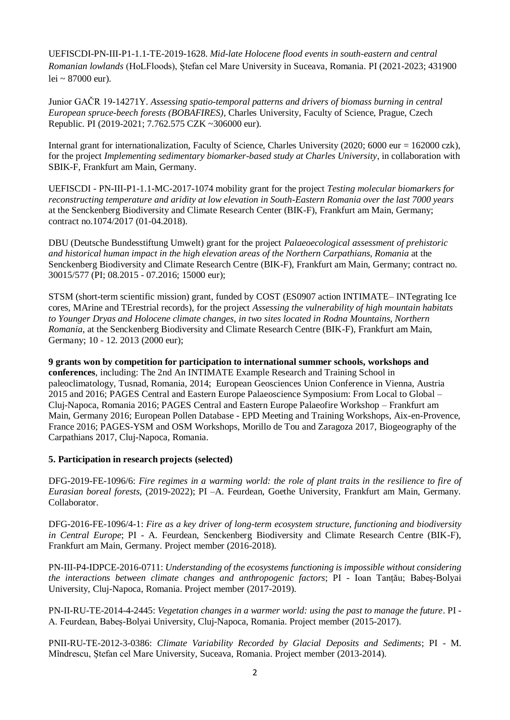UEFISCDI-PN-III-P1-1.1-TE-2019-1628. *Mid-late Holocene flood events in south-eastern and central Romanian lowlands* (HoLFloods), Ștefan cel Mare University in Suceava, Romania. PI (2021-2023; 431900 lei ~ 87000 eur).

Junior GAČR 19-14271Y. *Assessing spatio-temporal patterns and drivers of biomass burning in central European spruce-beech forests (BOBAFIRES)*, Charles University, Faculty of Science, Prague, Czech Republic. PI (2019-2021; 7.762.575 CZK ~306000 eur).

Internal grant for internationalization, Faculty of Science, Charles University (2020; 6000 eur = 162000 czk), for the project *Implementing sedimentary biomarker-based study at Charles University*, in collaboration with SBIK-F, Frankfurt am Main, Germany.

UEFISCDI - PN-III-P1-1.1-MC-2017-1074 mobility grant for the project *Testing molecular biomarkers for reconstructing temperature and aridity at low elevation in South-Eastern Romania over the last 7000 years* at the Senckenberg Biodiversity and Climate Research Center (BIK-F), Frankfurt am Main, Germany; contract no.1074/2017 (01-04.2018).

DBU (Deutsche Bundesstiftung Umwelt) grant for the project *Palaeoecological assessment of prehistoric and historical human impact in the high elevation areas of the Northern Carpathians, Romania* at the Senckenberg Biodiversity and Climate Research Centre (BIK-F), Frankfurt am Main, Germany; contract no. 30015/577 (PI; 08.2015 - 07.2016; 15000 eur);

STSM (short-term scientific mission) grant, funded by COST (ES0907 action INTIMATE– INTegrating Ice cores, MArine and TErestrial records), for the project *Assessing the vulnerability of high mountain habitats to Younger Dryas and Holocene climate changes, in two sites located in Rodna Mountains, Northern Romania*, at the Senckenberg Biodiversity and Climate Research Centre (BIK-F), Frankfurt am Main, Germany; 10 - 12. 2013 (2000 eur);

**9 grants won by competition for participation to international summer schools, workshops and conferences**, including: The 2nd An INTIMATE Example Research and Training School in paleoclimatology, Tusnad, Romania, 2014; European Geosciences Union Conference in Vienna, Austria 2015 and 2016; PAGES Central and Eastern Europe Palaeoscience Symposium: From Local to Global – Cluj-Napoca, Romania 2016; PAGES Central and Eastern Europe Palaeofire Workshop – Frankfurt am Main, Germany 2016; European Pollen Database - EPD Meeting and Training Workshops, Aix-en-Provence, France 2016; PAGES-YSM and OSM Workshops, Morillo de Tou and Zaragoza 2017, Biogeography of the Carpathians 2017, Cluj-Napoca, Romania.

#### **5. Participation in research projects (selected)**

DFG-2019-FE-1096/6: *Fire regimes in a warming world: the role of plant traits in the resilience to fire of Eurasian boreal forests,* (2019-2022); PI –A. Feurdean, Goethe University, Frankfurt am Main, Germany. Collaborator.

DFG-2016-FE-1096/4-1: *Fire as a key driver of long-term ecosystem structure, functioning and biodiversity in Central Europe*; PI - A. Feurdean, Senckenberg Biodiversity and Climate Research Centre (BIK-F), Frankfurt am Main, Germany. Project member (2016-2018).

PN-III-P4-IDPCE-2016-0711: *Understanding of the ecosystems functioning is impossible without considering the interactions between climate changes and anthropogenic factors*; PI - Ioan Tanțău; Babeș-Bolyai University, Cluj-Napoca, Romania. Project member (2017-2019).

PN-II-RU-TE-2014-4-2445: *Vegetation changes in a warmer world: using the past to manage the future*. PI - A. Feurdean, Babeș-Bolyai University, Cluj-Napoca, Romania. Project member (2015-2017).

PNII-RU-TE-2012-3-0386: *Climate Variability Recorded by Glacial Deposits and Sediments*; PI - M. Mîndrescu, Ștefan cel Mare University, Suceava, Romania. Project member (2013-2014).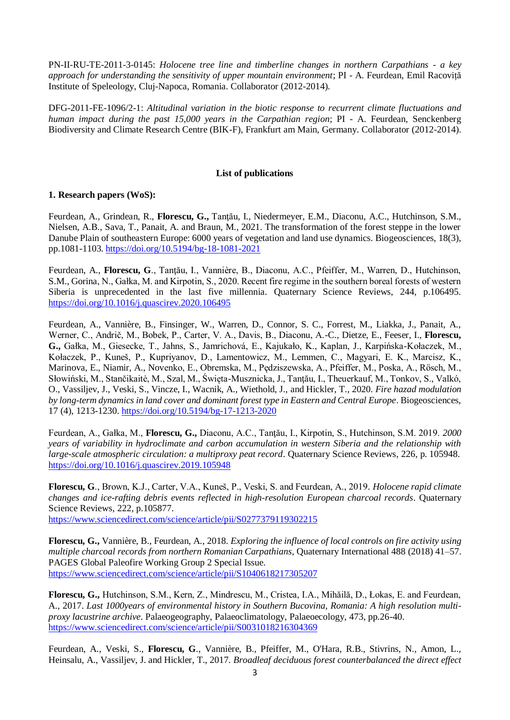PN-II-RU-TE-2011-3-0145: *Holocene tree line and timberline changes in northern Carpathians - a key approach for understanding the sensitivity of upper mountain environment*; PI - A. Feurdean, Emil Racoviță Institute of Speleology, Cluj-Napoca, Romania. Collaborator (2012-2014).

DFG-2011-FE-1096/2-1: *Altitudinal variation in the biotic response to recurrent climate fluctuations and human impact during the past 15,000 years in the Carpathian region*; PI - A. Feurdean, Senckenberg Biodiversity and Climate Research Centre (BIK-F), Frankfurt am Main, Germany. Collaborator (2012-2014).

## **List of publications**

# **1. Research papers (WoS):**

Feurdean, A., Grindean, R., **Florescu, G.,** Tanţău, I., Niedermeyer, E.M., Diaconu, A.C., Hutchinson, S.M., Nielsen, A.B., Sava, T., Panait, A. and Braun, M., 2021. The transformation of the forest steppe in the lower Danube Plain of southeastern Europe: 6000 years of vegetation and land use dynamics. Biogeosciences, 18(3), pp.1081-1103. <https://doi.org/10.5194/bg-18-1081-2021>

Feurdean, A., **Florescu, G**., Tanţău, I., Vannière, B., Diaconu, A.C., Pfeiffer, M., Warren, D., Hutchinson, S.M., Gorina, N., Gałka, M. and Kirpotin, S., 2020. Recent fire regime in the southern boreal forests of western Siberia is unprecedented in the last five millennia. Quaternary Science Reviews, 244, p.106495. <https://doi.org/10.1016/j.quascirev.2020.106495>

Feurdean, A., Vannière, B., Finsinger, W., Warren, D., Connor, S. C., Forrest, M., Liakka, J., Panait, A., Werner, C., Andrič, M., Bobek, P., Carter, V. A., Davis, B., Diaconu, A.-C., Dietze, E., Feeser, I., **Florescu, G.,** Gałka, M., Giesecke, T., Jahns, S., Jamrichová, E., Kajukało, K., Kaplan, J., Karpińska-Kołaczek, M., Kołaczek, P., Kuneš, P., Kupriyanov, D., Lamentowicz, M., Lemmen, C., Magyari, E. K., Marcisz, K., Marinova, E., Niamir, A., Novenko, E., Obremska, M., Pędziszewska, A., Pfeiffer, M., Poska, A., Rösch, M., Słowiński, M., Stančikaitė, M., Szal, M., Święta-Musznicka, J., Tanţău, I., Theuerkauf, M., Tonkov, S., Valkó, O., Vassiljev, J., Veski, S., Vincze, I., Wacnik, A., Wiethold, J., and Hickler, T., 2020. *Fire hazad modulation by long-term dynamics in land cover and dominant forest type in Eastern and Central Europe*. Biogeosciences, 17 (4), 1213-1230. <https://doi.org/10.5194/bg-17-1213-2020>

Feurdean, A., Gałka, M., **Florescu, G.,** Diaconu, A.C., Tanţău, I., Kirpotin, S., Hutchinson, S.M. 2019. *2000 years of variability in hydroclimate and carbon accumulation in western Siberia and the relationship with large-scale atmospheric circulation: a multiproxy peat record*. Quaternary Science Reviews, 226, p. 105948. <https://doi.org/10.1016/j.quascirev.2019.105948>

**Florescu, G**., Brown, K.J., Carter, V.A., Kuneš, P., Veski, S. and Feurdean, A., 2019*. Holocene rapid climate changes and ice-rafting debris events reflected in high-resolution European charcoal records*. Quaternary Science Reviews, 222, p.105877.

<https://www.sciencedirect.com/science/article/pii/S0277379119302215>

**Florescu, G.,** Vannière, B., Feurdean, A., 2018. *Exploring the influence of local controls on fire activity using multiple charcoal records from northern Romanian Carpathians*, Quaternary International 488 (2018) 41–57. PAGES Global Paleofire Working Group 2 Special Issue. <https://www.sciencedirect.com/science/article/pii/S1040618217305207>

**Florescu, G.,** Hutchinson, S.M., Kern, Z., Mindrescu, M., Cristea, I.A., Mihăilă, D., Łokas, E. and Feurdean, A., 2017. *Last 1000years of environmental history in Southern Bucovina, Romania: A high resolution multiproxy lacustrine archive*. Palaeogeography, Palaeoclimatology, Palaeoecology, 473, pp.26-40. <https://www.sciencedirect.com/science/article/pii/S0031018216304369>

Feurdean, A., Veski, S., **Florescu, G**., Vannière, B., Pfeiffer, M., O'Hara, R.B., Stivrins, N., Amon, L., Heinsalu, A., Vassiljev, J. and Hickler, T., 2017. *Broadleaf deciduous forest counterbalanced the direct effect*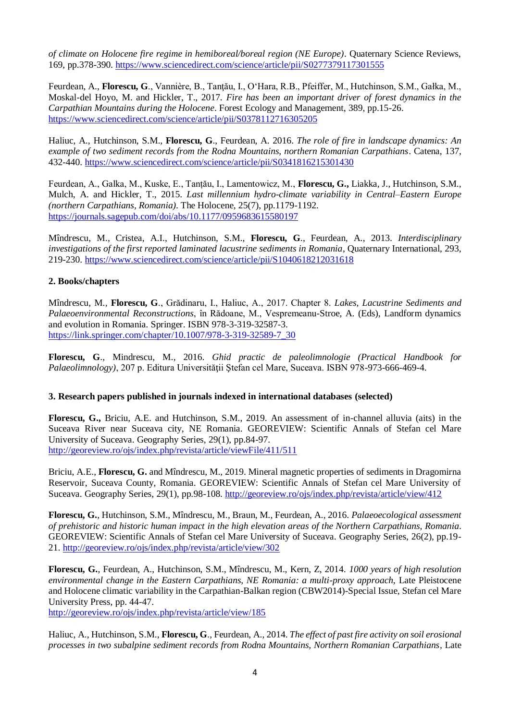*of climate on Holocene fire regime in hemiboreal/boreal region (NE Europe)*. Quaternary Science Reviews, 169, pp.378-390. <https://www.sciencedirect.com/science/article/pii/S0277379117301555>

Feurdean, A., **Florescu, G**., Vannière, B., Tanţău, I., O'Hara, R.B., Pfeiffer, M., Hutchinson, S.M., Gałka, M., Moskal-del Hoyo, M. and Hickler, T., 2017. *Fire has been an important driver of forest dynamics in the Carpathian Mountains during the Holocene*. Forest Ecology and Management, 389, pp.15-26. <https://www.sciencedirect.com/science/article/pii/S0378112716305205>

Haliuc, A., Hutchinson, S.M., **Florescu, G**., Feurdean, A. 2016. *The role of fire in landscape dynamics: An example of two sediment records from the Rodna Mountains, northern Romanian Carpathians*. Catena, 137, 432-440. <https://www.sciencedirect.com/science/article/pii/S0341816215301430>

Feurdean, A., Galka, M., Kuske, E., Tanțău, I., Lamentowicz, M., **Florescu, G.,** Liakka, J., Hutchinson, S.M., Mulch, A. and Hickler, T., 2015. *Last millennium hydro-climate variability in Central–Eastern Europe (northern Carpathians, Romania)*. The Holocene, 25(7), pp.1179-1192. <https://journals.sagepub.com/doi/abs/10.1177/0959683615580197>

Mîndrescu, M., Cristea, A.I., Hutchinson, S.M., **Florescu, G**., Feurdean, A., 2013. *Interdisciplinary investigations of the first reported laminated lacustrine sediments in Romania*, Quaternary International, 293, 219-230. <https://www.sciencedirect.com/science/article/pii/S1040618212031618>

# **2. Books/chapters**

Mîndrescu, M., **Florescu, G**., Grădinaru, I., Haliuc, A., 2017. Chapter 8. *Lakes, Lacustrine Sediments and Palaeoenvironmental Reconstructions*, în Rădoane, M., Vespremeanu-Stroe, A. (Eds), Landform dynamics and evolution in Romania. Springer. ISBN 978-3-319-32587-3. [https://link.springer.com/chapter/10.1007/978-3-319-32589-7\\_30](https://link.springer.com/chapter/10.1007/978-3-319-32589-7_30)

**Florescu, G**., Mindrescu, M., 2016. *Ghid practic de paleolimnologie (Practical Handbook for Palaeolimnology)*, 207 p. Editura Universităţii Ştefan cel Mare, Suceava. ISBN 978-973-666-469-4.

#### **3. Research papers published in journals indexed in international databases (selected)**

**Florescu, G.,** Briciu, A.E. and Hutchinson, S.M., 2019. An assessment of in-channel alluvia (aits) in the Suceava River near Suceava city, NE Romania. GEOREVIEW: Scientific Annals of Stefan cel Mare University of Suceava. Geography Series, 29(1), pp.84-97. <http://georeview.ro/ojs/index.php/revista/article/viewFile/411/511>

Briciu, A.E., **Florescu, G.** and Mîndrescu, M., 2019. Mineral magnetic properties of sediments in Dragomirna Reservoir, Suceava County, Romania. GEOREVIEW: Scientific Annals of Stefan cel Mare University of Suceava. Geography Series, 29(1), pp.98-108. <http://georeview.ro/ojs/index.php/revista/article/view/412>

**Florescu, G.**, Hutchinson, S.M., Mîndrescu, M., Braun, M., Feurdean, A., 2016. *Palaeoecological assessment of prehistoric and historic human impact in the high elevation areas of the Northern Carpathians, Romania*. GEOREVIEW: Scientific Annals of Stefan cel Mare University of Suceava. Geography Series, 26(2), pp.19- 21. <http://georeview.ro/ojs/index.php/revista/article/view/302>

**Florescu, G.**, Feurdean, A., Hutchinson, S.M., Mîndrescu, M., Kern, Z, 2014. *1000 years of high resolution environmental change in the Eastern Carpathians, NE Romania: a multi-proxy approach*, Late Pleistocene and Holocene climatic variability in the Carpathian-Balkan region (CBW2014)-Special Issue, Stefan cel Mare University Press, pp. 44-47.

<http://georeview.ro/ojs/index.php/revista/article/view/185>

Haliuc, A., Hutchinson, S.M., **Florescu, G**., Feurdean, A., 2014. *The effect of past fire activity on soil erosional processes in two subalpine sediment records from Rodna Mountains, Northern Romanian Carpathians*, Late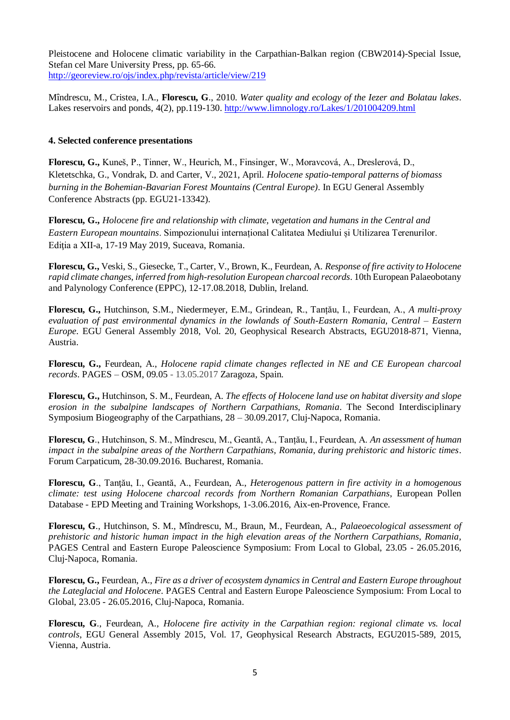Pleistocene and Holocene climatic variability in the Carpathian-Balkan region (CBW2014)-Special Issue, Stefan cel Mare University Press, pp. 65-66. <http://georeview.ro/ojs/index.php/revista/article/view/219>

Mîndrescu, M., Cristea, I.A., **Florescu, G**., 2010. *Water quality and ecology of the Iezer and Bolatau lakes*. Lakes reservoirs and ponds, 4(2), pp.119-130. <http://www.limnology.ro/Lakes/1/201004209.html>

## **4. Selected conference presentations**

**Florescu, G.,** Kuneš, P., Tinner, W., Heurich, M., Finsinger, W., Moravcová, A., Dreslerová, D., Kletetschka, G., Vondrak, D. and Carter, V., 2021, April. *Holocene spatio-temporal patterns of biomass burning in the Bohemian-Bavarian Forest Mountains (Central Europe)*. In EGU General Assembly Conference Abstracts (pp. EGU21-13342).

**Florescu, G.,** *Holocene fire and relationship with climate, vegetation and humans in the Central and Eastern European mountains*. Simpozionului internațional Calitatea Mediului și Utilizarea Terenurilor. Editia a XII-a, 17-19 May 2019, Suceava, Romania.

**Florescu, G.,** Veski, S., Giesecke, T., Carter, V., Brown, K., Feurdean, A. *Response of fire activity to Holocene rapid climate changes, inferred from high-resolution European charcoal records*. 10th European Palaeobotany and Palynology Conference (EPPC), 12-17.08.2018, Dublin, Ireland.

**Florescu, G.,** Hutchinson, S.M., Niedermeyer, E.M., Grindean, R., Tanțău, I., Feurdean, A., *A multi-proxy evaluation of past environmental dynamics in the lowlands of South-Eastern Romania, Central – Eastern Europe*. EGU General Assembly 2018, Vol. 20, Geophysical Research Abstracts, EGU2018-871, Vienna, Austria.

**Florescu, G.,** Feurdean, A., *Holocene rapid climate changes reflected in NE and CE European charcoal records*. PAGES – OSM, 09.05 - 13.05.2017 Zaragoza, Spain.

**Florescu, G.,** Hutchinson, S. M., Feurdean, A. *The effects of Holocene land use on habitat diversity and slope erosion in the subalpine landscapes of Northern Carpathians, Romania*. The Second Interdisciplinary Symposium Biogeography of the Carpathians, 28 – 30.09.2017, Cluj-Napoca, Romania.

**Florescu, G**., Hutchinson, S. M., Mîndrescu, M., Geantă, A., Tanțău, I., Feurdean, A. *An assessment of human impact in the subalpine areas of the Northern Carpathians, Romania, during prehistoric and historic times*. Forum Carpaticum, 28-30.09.2016. Bucharest, Romania.

**Florescu, G**., Tanţău, I., Geantă, A., Feurdean, A., *Heterogenous pattern in fire activity in a homogenous climate: test using Holocene charcoal records from Northern Romanian Carpathians*, European Pollen Database - EPD Meeting and Training Workshops, 1-3.06.2016, Aix-en-Provence, France.

**Florescu, G**., Hutchinson, S. M., Mîndrescu, M., Braun, M., Feurdean, A., *Palaeoecological assessment of prehistoric and historic human impact in the high elevation areas of the Northern Carpathians, Romania*, PAGES Central and Eastern Europe Paleoscience Symposium: From Local to Global, 23.05 - 26.05.2016, Cluj-Napoca, Romania.

**Florescu, G.,** Feurdean, A., *Fire as a driver of ecosystem dynamics in Central and Eastern Europe throughout the Lateglacial and Holocene*. PAGES Central and Eastern Europe Paleoscience Symposium: From Local to Global, 23.05 - 26.05.2016, Cluj-Napoca, Romania.

**Florescu, G**., Feurdean, A., *Holocene fire activity in the Carpathian region: regional climate vs. local controls*, EGU General Assembly 2015, Vol. 17, Geophysical Research Abstracts, EGU2015-589, 2015, Vienna, Austria.